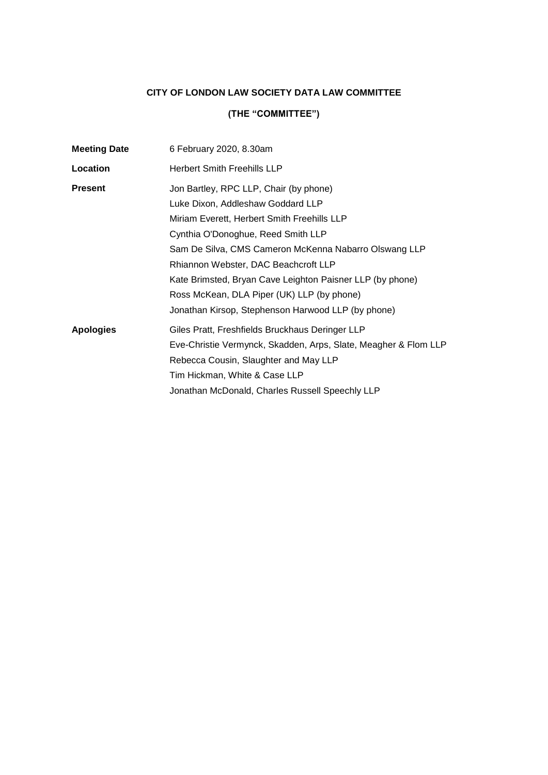## **CITY OF LONDON LAW SOCIETY DATA LAW COMMITTEE**

# **(THE "COMMITTEE")**

| 6 February 2020, 8.30am                                         |
|-----------------------------------------------------------------|
| <b>Herbert Smith Freehills LLP</b>                              |
| Jon Bartley, RPC LLP, Chair (by phone)                          |
| Luke Dixon, Addleshaw Goddard LLP                               |
| Miriam Everett, Herbert Smith Freehills LLP                     |
| Cynthia O'Donoghue, Reed Smith LLP                              |
| Sam De Silva, CMS Cameron McKenna Nabarro Olswang LLP           |
| Rhiannon Webster, DAC Beachcroft LLP                            |
| Kate Brimsted, Bryan Cave Leighton Paisner LLP (by phone)       |
| Ross McKean, DLA Piper (UK) LLP (by phone)                      |
| Jonathan Kirsop, Stephenson Harwood LLP (by phone)              |
| Giles Pratt, Freshfields Bruckhaus Deringer LLP                 |
| Eve-Christie Vermynck, Skadden, Arps, Slate, Meagher & Flom LLP |
| Rebecca Cousin, Slaughter and May LLP                           |
| Tim Hickman, White & Case LLP                                   |
| Jonathan McDonald, Charles Russell Speechly LLP                 |
|                                                                 |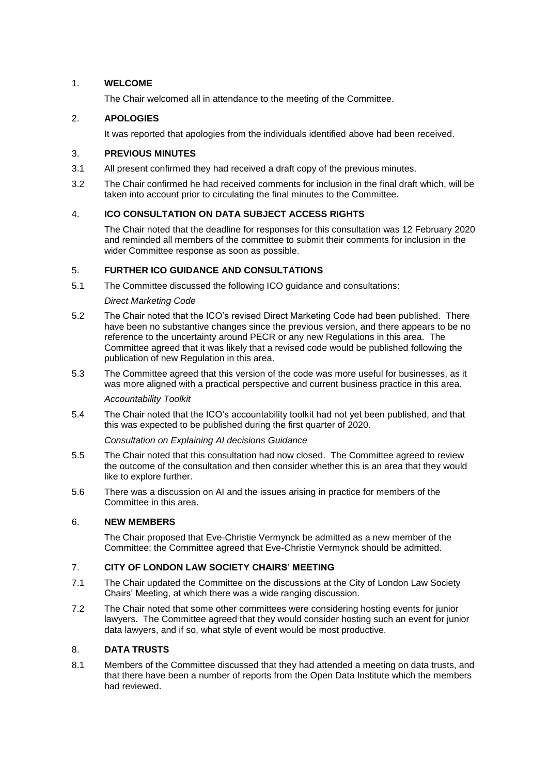#### 1. **WELCOME**

The Chair welcomed all in attendance to the meeting of the Committee.

#### 2. **APOLOGIES**

It was reported that apologies from the individuals identified above had been received.

#### 3. **PREVIOUS MINUTES**

- 3.1 All present confirmed they had received a draft copy of the previous minutes.
- 3.2 The Chair confirmed he had received comments for inclusion in the final draft which, will be taken into account prior to circulating the final minutes to the Committee.

#### 4. **ICO CONSULTATION ON DATA SUBJECT ACCESS RIGHTS**

The Chair noted that the deadline for responses for this consultation was 12 February 2020 and reminded all members of the committee to submit their comments for inclusion in the wider Committee response as soon as possible.

#### 5. **FURTHER ICO GUIDANCE AND CONSULTATIONS**

5.1 The Committee discussed the following ICO guidance and consultations:

#### *Direct Marketing Code*

- 5.2 The Chair noted that the ICO's revised Direct Marketing Code had been published. There have been no substantive changes since the previous version, and there appears to be no reference to the uncertainty around PECR or any new Regulations in this area. The Committee agreed that it was likely that a revised code would be published following the publication of new Regulation in this area.
- 5.3 The Committee agreed that this version of the code was more useful for businesses, as it was more aligned with a practical perspective and current business practice in this area.

## *Accountability Toolkit*

5.4 The Chair noted that the ICO's accountability toolkit had not yet been published, and that this was expected to be published during the first quarter of 2020.

*Consultation on Explaining AI decisions Guidance*

- 5.5 The Chair noted that this consultation had now closed. The Committee agreed to review the outcome of the consultation and then consider whether this is an area that they would like to explore further.
- 5.6 There was a discussion on AI and the issues arising in practice for members of the Committee in this area.

### 6. **NEW MEMBERS**

The Chair proposed that Eve-Christie Vermynck be admitted as a new member of the Committee; the Committee agreed that Eve-Christie Vermynck should be admitted.

### 7. **CITY OF LONDON LAW SOCIETY CHAIRS' MEETING**

- 7.1 The Chair updated the Committee on the discussions at the City of London Law Society Chairs' Meeting, at which there was a wide ranging discussion.
- 7.2 The Chair noted that some other committees were considering hosting events for junior lawyers. The Committee agreed that they would consider hosting such an event for junior data lawyers, and if so, what style of event would be most productive.

#### 8. **DATA TRUSTS**

8.1 Members of the Committee discussed that they had attended a meeting on data trusts, and that there have been a number of reports from the Open Data Institute which the members had reviewed.